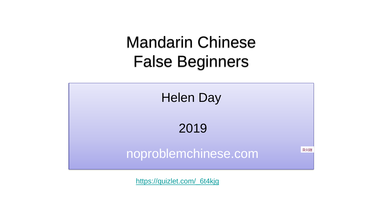## Mandarin Chinese False Beginners



2019

## noproblemchinese.com

没问题

[https://quizlet.com/\\_6t4kjg](https://quizlet.com/_6t4kjg)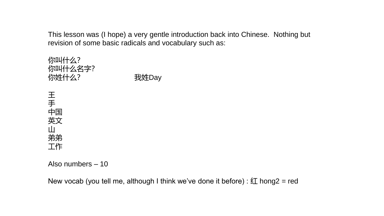This lesson was (I hope) a very gentle introduction back into Chinese. Nothing but revision of some basic radicals and vocabulary such as:



Also numbers – 10

New vocab (you tell me, although I think we've done it before) :  $\angle I$  hong2 = red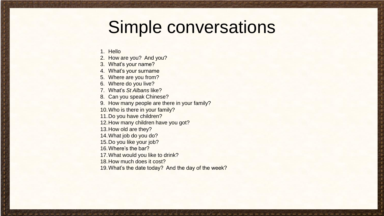## Simple conversations

- 1. Hello
- 2. How are you? And you?
- 3. What's your name?
- 4. What's your surname
- 5. Where are you from?
- 6. Where do you live?
- 7. What's *St Albans* like?
- 8. Can you speak Chinese?
- 9. How many people are there in your family?
- 10.Who is there in your family?
- 11.Do you have children?
- 12.How many children have you got?
- 13.How old are they?
- 14.What job do you do?
- 15.Do you like your job?
- 16.Where's the bar?
- 17.What would you like to drink?
- 18.How much does it cost?
- 19.What's the date today? And the day of the week?